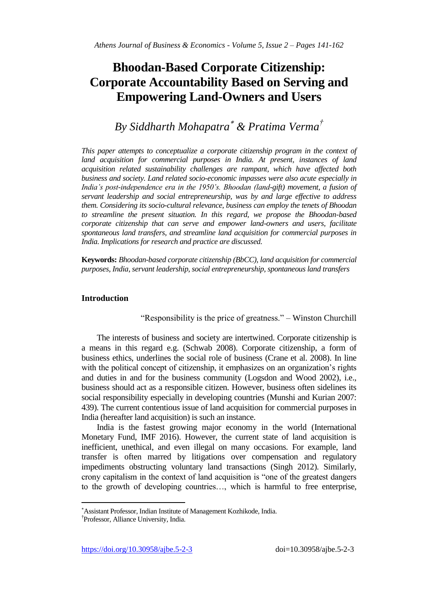# **Bhoodan-Based Corporate Citizenship: Corporate Accountability Based on Serving and Empowering Land-Owners and Users**

# *By Siddharth Mohapatra & Pratima Verma†*

*This paper attempts to conceptualize a corporate citizenship program in the context of land acquisition for commercial purposes in India. At present, instances of land acquisition related sustainability challenges are rampant, which have affected both business and society. Land related socio-economic impasses were also acute especially in India's post-independence era in the 1950's. Bhoodan (land-gift) movement, a fusion of servant leadership and social entrepreneurship, was by and large effective to address them. Considering its socio-cultural relevance, business can employ the tenets of Bhoodan to streamline the present situation. In this regard, we propose the Bhoodan-based corporate citizenship that can serve and empower land-owners and users, facilitate spontaneous land transfers, and streamline land acquisition for commercial purposes in India. Implications for research and practice are discussed.*

**Keywords:** *Bhoodan-based corporate citizenship (BbCC), land acquisition for commercial purposes, India, servant leadership, social entrepreneurship, spontaneous land transfers*

# **Introduction**

"Responsibility is the price of greatness." – Winston Churchill

The interests of business and society are intertwined. Corporate citizenship is a means in this regard e.g. (Schwab 2008). Corporate citizenship, a form of business ethics, underlines the social role of business (Crane et al. 2008). In line with the political concept of citizenship, it emphasizes on an organization's rights and duties in and for the business community (Logsdon and Wood 2002), i.e., business should act as a responsible citizen. However, business often sidelines its social responsibility especially in developing countries (Munshi and Kurian 2007: 439). The current contentious issue of land acquisition for commercial purposes in India (hereafter land acquisition) is such an instance.

India is the fastest growing major economy in the world (International Monetary Fund, IMF 2016). However, the current state of land acquisition is inefficient, unethical, and even illegal on many occasions. For example, land transfer is often marred by litigations over compensation and regulatory impediments obstructing voluntary land transactions (Singh 2012). Similarly, crony capitalism in the context of land acquisition is "one of the greatest dangers" to the growth of developing countries…, which is harmful to free enterprise,

 $\overline{\phantom{a}}$ 

[https://doi.org/10.30958/ajbe.5-2-3](https://doi.org/10.30958/ajbe.5-2-2) doi=10.30958/ajbe.5-2-3

Assistant Professor, Indian Institute of Management Kozhikode, India.

<sup>†</sup> Professor, Alliance University, India.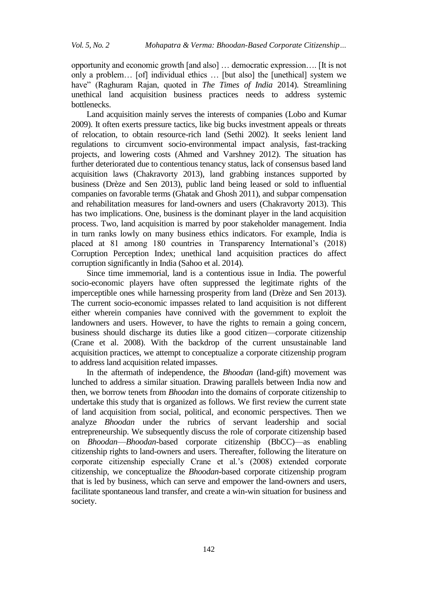opportunity and economic growth [and also] … democratic expression…. [It is not only a problem… [of] individual ethics … [but also] the [unethical] system we have" (Raghuram Rajan, quoted in *The Times of India* 2014). Streamlining unethical land acquisition business practices needs to address systemic bottlenecks.

Land acquisition mainly serves the interests of companies (Lobo and Kumar 2009). It often exerts pressure tactics, like big bucks investment appeals or threats of relocation, to obtain resource-rich land (Sethi 2002). It seeks lenient land regulations to circumvent socio-environmental impact analysis, fast-tracking projects, and lowering costs (Ahmed and Varshney 2012). The situation has further deteriorated due to contentious tenancy status, lack of consensus based land acquisition laws (Chakravorty 2013), land grabbing instances supported by business (Drèze and Sen 2013), public land being leased or sold to influential companies on favorable terms (Ghatak and Ghosh 2011), and subpar compensation and rehabilitation measures for land-owners and users (Chakravorty 2013). This has two implications. One, business is the dominant player in the land acquisition process. Two, land acquisition is marred by poor stakeholder management. India in turn ranks lowly on many business ethics indicators. For example, India is placed at 81 among 180 countries in Transparency International's (2018) Corruption Perception Index; unethical land acquisition practices do affect corruption significantly in India (Sahoo et al. 2014).

Since time immemorial, land is a contentious issue in India. The powerful socio-economic players have often suppressed the legitimate rights of the imperceptible ones while harnessing prosperity from land (Drèze and Sen 2013). The current socio-economic impasses related to land acquisition is not different either wherein companies have connived with the government to exploit the landowners and users. However, to have the rights to remain a going concern, business should discharge its duties like a good citizen—corporate citizenship (Crane et al. 2008). With the backdrop of the current unsustainable land acquisition practices, we attempt to conceptualize a corporate citizenship program to address land acquisition related impasses.

In the aftermath of independence, the *Bhoodan* (land-gift) movement was lunched to address a similar situation. Drawing parallels between India now and then, we borrow tenets from *Bhoodan* into the domains of corporate citizenship to undertake this study that is organized as follows. We first review the current state of land acquisition from social, political, and economic perspectives. Then we analyze *Bhoodan* under the rubrics of servant leadership and social entrepreneurship. We subsequently discuss the role of corporate citizenship based on *Bhoodan*—*Bhoodan*-based corporate citizenship (BbCC)—as enabling citizenship rights to land-owners and users. Thereafter, following the literature on corporate citizenship especially Crane et al.'s (2008) extended corporate citizenship, we conceptualize the *Bhoodan*-based corporate citizenship program that is led by business, which can serve and empower the land-owners and users, facilitate spontaneous land transfer, and create a win-win situation for business and society.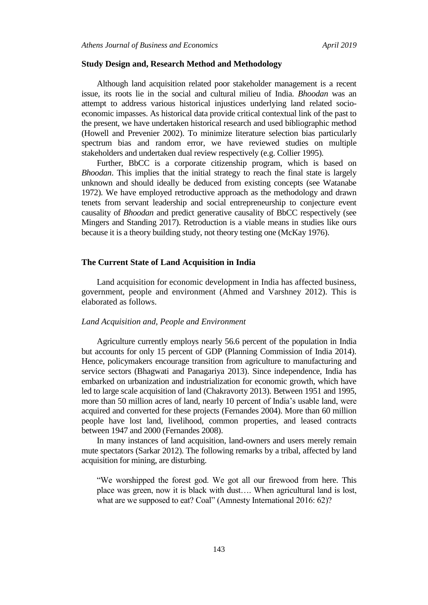#### **Study Design and, Research Method and Methodology**

Although land acquisition related poor stakeholder management is a recent issue, its roots lie in the social and cultural milieu of India. *Bhoodan* was an attempt to address various historical injustices underlying land related socioeconomic impasses. As historical data provide critical contextual link of the past to the present, we have undertaken historical research and used bibliographic method (Howell and Prevenier 2002). To minimize literature selection bias particularly spectrum bias and random error, we have reviewed studies on multiple stakeholders and undertaken dual review respectively (e.g. Collier 1995).

Further, BbCC is a corporate citizenship program, which is based on *Bhoodan*. This implies that the initial strategy to reach the final state is largely unknown and should ideally be deduced from existing concepts (see Watanabe 1972). We have employed retroductive approach as the methodology and drawn tenets from servant leadership and social entrepreneurship to conjecture event causality of *Bhoodan* and predict generative causality of BbCC respectively (see Mingers and Standing 2017). Retroduction is a viable means in studies like ours because it is a theory building study, not theory testing one (McKay 1976).

#### **The Current State of Land Acquisition in India**

Land acquisition for economic development in India has affected business, government, people and environment (Ahmed and Varshney 2012). This is elaborated as follows.

#### *Land Acquisition and, People and Environment*

Agriculture currently employs nearly 56.6 percent of the population in India but accounts for only 15 percent of GDP (Planning Commission of India 2014). Hence, policymakers encourage transition from agriculture to manufacturing and service sectors (Bhagwati and Panagariya 2013). Since independence, India has embarked on urbanization and industrialization for economic growth, which have led to large scale acquisition of land (Chakravorty 2013). Between 1951 and 1995, more than 50 million acres of land, nearly 10 percent of India's usable land, were acquired and converted for these projects (Fernandes 2004). More than 60 million people have lost land, livelihood, common properties, and leased contracts between 1947 and 2000 (Fernandes 2008).

In many instances of land acquisition, land-owners and users merely remain mute spectators (Sarkar 2012). The following remarks by a tribal, affected by land acquisition for mining, are disturbing.

"We worshipped the forest god. We got all our firewood from here. This place was green, now it is black with dust…. When agricultural land is lost, what are we supposed to eat? Coal" (Amnesty International 2016: 62)?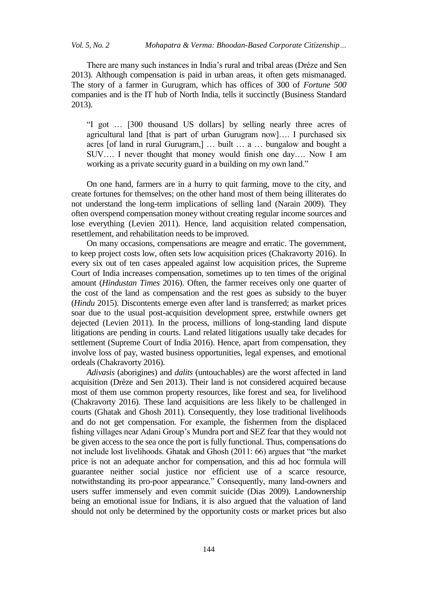*Vol. 5, No. 2 Mohapatra & Verma: Bhoodan-Based Corporate Citizenship…*

There are many such instances in India's rural and tribal areas (Drèze and Sen 2013). Although compensation is paid in urban areas, it often gets mismanaged. The story of a farmer in Gurugram, which has offices of 300 of *Fortune 500* companies and is the IT hub of North India, tells it succinctly (Business Standard 2013).

"I got ... [300 thousand US dollars] by selling nearly three acres of agricultural land [that is part of urban Gurugram now]…. I purchased six acres [of land in rural Gurugram,] … built … a … bungalow and bought a SUV…. I never thought that money would finish one day…. Now I am working as a private security guard in a building on my own land."

On one hand, farmers are in a hurry to quit farming, move to the city, and create fortunes for themselves; on the other hand most of them being illiterates do not understand the long-term implications of selling land (Narain 2009). They often overspend compensation money without creating regular income sources and lose everything (Levien 2011). Hence, land acquisition related compensation, resettlement, and rehabilitation needs to be improved.

On many occasions, compensations are meagre and erratic. The government, to keep project costs low, often sets low acquisition prices (Chakravorty 2016). In every six out of ten cases appealed against low acquisition prices, the Supreme Court of India increases compensation, sometimes up to ten times of the original amount (*Hindustan Times* 2016). Often, the farmer receives only one quarter of the cost of the land as compensation and the rest goes as subsidy to the buyer (*Hindu* 2015). Discontents emerge even after land is transferred; as market prices soar due to the usual post-acquisition development spree, erstwhile owners get dejected (Levien 2011). In the process, millions of long-standing land dispute litigations are pending in courts. Land related litigations usually take decades for settlement (Supreme Court of India 2016). Hence, apart from compensation, they involve loss of pay, wasted business opportunities, legal expenses, and emotional ordeals (Chakravorty 2016).

*Adivasis* (aborigines) and *dalits* (untouchables) are the worst affected in land acquisition (Drèze and Sen 2013). Their land is not considered acquired because most of them use common property resources, like forest and sea, for livelihood (Chakravorty 2016). These land acquisitions are less likely to be challenged in courts (Ghatak and Ghosh 2011). Consequently, they lose traditional livelihoods and do not get compensation. For example, the fishermen from the displaced fishing villages near Adani Group's Mundra port and SEZ fear that they would not be given access to the sea once the port is fully functional. Thus, compensations do not include lost livelihoods. Ghatak and Ghosh  $(2011: 66)$  argues that "the market price is not an adequate anchor for compensation, and this ad hoc formula will guarantee neither social justice nor efficient use of a scarce resource, notwithstanding its pro-poor appearance." Consequently, many land-owners and users suffer immensely and even commit suicide (Dias 2009). Landownership being an emotional issue for Indians, it is also argued that the valuation of land should not only be determined by the opportunity costs or market prices but also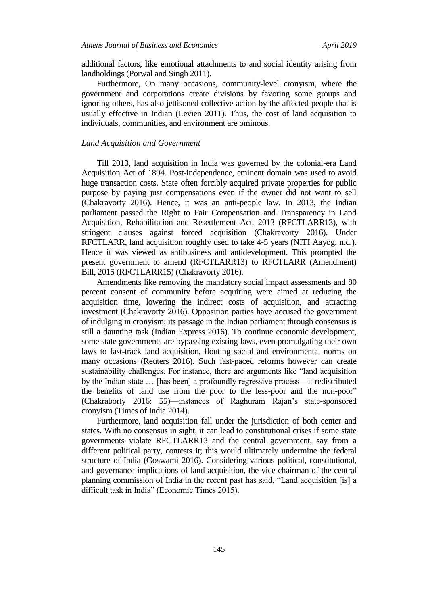additional factors, like emotional attachments to and social identity arising from landholdings (Porwal and Singh 2011).

Furthermore, On many occasions, community-level cronyism, where the government and corporations create divisions by favoring some groups and ignoring others, has also jettisoned collective action by the affected people that is usually effective in Indian (Levien 2011). Thus, the cost of land acquisition to individuals, communities, and environment are ominous.

#### *Land Acquisition and Government*

Till 2013, land acquisition in India was governed by the colonial-era Land Acquisition Act of 1894. Post-independence, eminent domain was used to avoid huge transaction costs. State often forcibly acquired private properties for public purpose by paying just compensations even if the owner did not want to sell (Chakravorty 2016). Hence, it was an anti-people law. In 2013, the Indian parliament passed the Right to Fair Compensation and Transparency in Land Acquisition, Rehabilitation and Resettlement Act, 2013 (RFCTLARR13), with stringent clauses against forced acquisition (Chakravorty 2016). Under RFCTLARR, land acquisition roughly used to take 4-5 years (NITI Aayog, n.d.). Hence it was viewed as antibusiness and antidevelopment. This prompted the present government to amend (RFCTLARR13) to RFCTLARR (Amendment) Bill, 2015 (RFCTLARR15) (Chakravorty 2016).

Amendments like removing the mandatory social impact assessments and 80 percent consent of community before acquiring were aimed at reducing the acquisition time, lowering the indirect costs of acquisition, and attracting investment (Chakravorty 2016). Opposition parties have accused the government of indulging in cronyism; its passage in the Indian parliament through consensus is still a daunting task (Indian Express 2016). To continue economic development, some state governments are bypassing existing laws, even promulgating their own laws to fast-track land acquisition, flouting social and environmental norms on many occasions (Reuters 2016). Such fast-paced reforms however can create sustainability challenges. For instance, there are arguments like "land acquisition" by the Indian state … [has been] a profoundly regressive process—it redistributed the benefits of land use from the poor to the less-poor and the non-poor" (Chakraborty 2016: 55)—instances of Raghuram Rajan's state-sponsored cronyism (Times of India 2014).

Furthermore, land acquisition fall under the jurisdiction of both center and states. With no consensus in sight, it can lead to constitutional crises if some state governments violate RFCTLARR13 and the central government, say from a different political party, contests it; this would ultimately undermine the federal structure of India (Goswami 2016). Considering various political, constitutional, and governance implications of land acquisition, the vice chairman of the central planning commission of India in the recent past has said, "Land acquisition [is] a difficult task in India" (Economic Times 2015).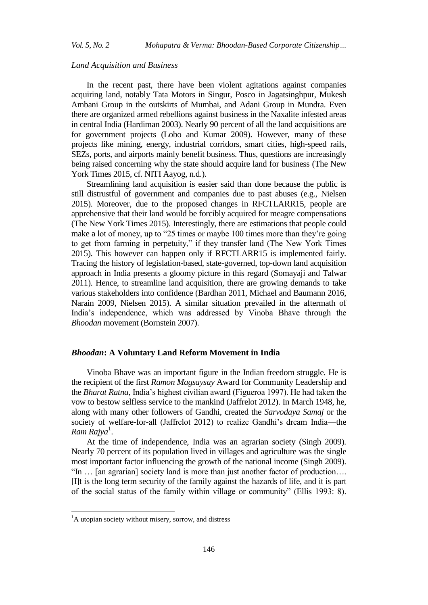#### *Land Acquisition and Business*

In the recent past, there have been violent agitations against companies acquiring land, notably Tata Motors in Singur, Posco in Jagatsinghpur, Mukesh Ambani Group in the outskirts of Mumbai, and Adani Group in Mundra. Even there are organized armed rebellions against business in the Naxalite infested areas in central India (Hardiman 2003). Nearly 90 percent of all the land acquisitions are for government projects (Lobo and Kumar 2009). However, many of these projects like mining, energy, industrial corridors, smart cities, high-speed rails, SEZs, ports, and airports mainly benefit business. Thus, questions are increasingly being raised concerning why the state should acquire land for business (The New York Times 2015, cf. NITI Aayog, n.d.).

Streamlining land acquisition is easier said than done because the public is still distrustful of government and companies due to past abuses (e.g., Nielsen 2015). Moreover, due to the proposed changes in RFCTLARR15, people are apprehensive that their land would be forcibly acquired for meagre compensations (The New York Times 2015). Interestingly, there are estimations that people could make a lot of money, up to  $25$  times or maybe 100 times more than they're going to get from farming in perpetuity," if they transfer land (The New York Times 2015). This however can happen only if RFCTLARR15 is implemented fairly. Tracing the history of legislation-based, state-governed, top-down land acquisition approach in India presents a gloomy picture in this regard (Somayaji and Talwar 2011). Hence, to streamline land acquisition, there are growing demands to take various stakeholders into confidence (Bardhan 2011, Michael and Baumann 2016, Narain 2009, Nielsen 2015). A similar situation prevailed in the aftermath of India's independence, which was addressed by Vinoba Bhave through the *Bhoodan* movement (Bornstein 2007).

#### *Bhoodan***: A Voluntary Land Reform Movement in India**

Vinoba Bhave was an important figure in the Indian freedom struggle. He is the recipient of the first *Ramon Magsaysay* Award for Community Leadership and the *Bharat Ratna*, India's highest civilian award (Figueroa 1997). He had taken the vow to bestow selfless service to the mankind (Jaffrelot 2012). In March 1948, he, along with many other followers of Gandhi, created the *Sarvodaya Samaj* or the society of welfare-for-all (Jaffrelot 2012) to realize Gandhi's dream India—the *Ram Rajya*<sup>1</sup> .

At the time of independence, India was an agrarian society (Singh 2009). Nearly 70 percent of its population lived in villages and agriculture was the single most important factor influencing the growth of the national income (Singh 2009). "In ... [an agrarian] society land is more than just another factor of production.... [I]t is the long term security of the family against the hazards of life, and it is part of the social status of the family within village or community" (Ellis 1993: 8).

1

<sup>&</sup>lt;sup>1</sup>A utopian society without misery, sorrow, and distress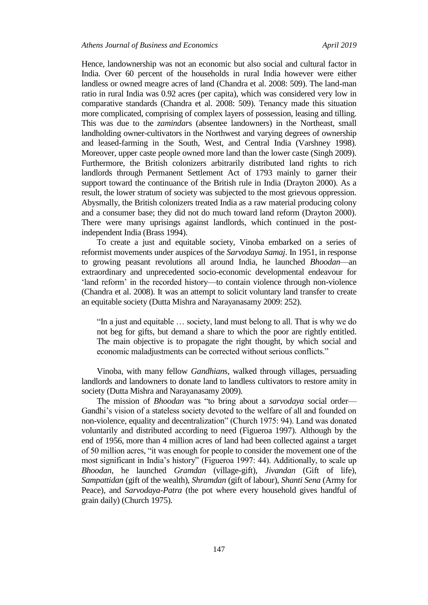Hence, landownership was not an economic but also social and cultural factor in India. Over 60 percent of the households in rural India however were either landless or owned meagre acres of land (Chandra et al. 2008: 509). The land-man ratio in rural India was 0.92 acres (per capita), which was considered very low in comparative standards (Chandra et al. 2008: 509). Tenancy made this situation more complicated, comprising of complex layers of possession, leasing and tilling. This was due to the *zamindar*s (absentee landowners) in the Northeast, small landholding owner-cultivators in the Northwest and varying degrees of ownership and leased-farming in the South, West, and Central India (Varshney 1998). Moreover, upper caste people owned more land than the lower caste (Singh 2009). Furthermore, the British colonizers arbitrarily distributed land rights to rich landlords through Permanent Settlement Act of 1793 mainly to garner their support toward the continuance of the British rule in India (Drayton 2000). As a result, the lower stratum of society was subjected to the most grievous oppression. Abysmally, the British colonizers treated India as a raw material producing colony and a consumer base; they did not do much toward land reform (Drayton 2000). There were many uprisings against landlords, which continued in the postindependent India (Brass 1994).

To create a just and equitable society, Vinoba embarked on a series of reformist movements under auspices of the *Sarvodaya Samaj*. In 1951, in response to growing peasant revolutions all around India, he launched *Bhoodan*—an extraordinary and unprecedented socio-economic developmental endeavour for ‗land reform' in the recorded history—to contain violence through non-violence (Chandra et al. 2008). It was an attempt to solicit voluntary land transfer to create an equitable society (Dutta Mishra and Narayanasamy 2009: 252).

"In a just and equitable ... society, land must belong to all. That is why we do not beg for gifts, but demand a share to which the poor are rightly entitled. The main objective is to propagate the right thought, by which social and economic maladjustments can be corrected without serious conflicts."

Vinoba, with many fellow *Gandhian*s, walked through villages, persuading landlords and landowners to donate land to landless cultivators to restore amity in society (Dutta Mishra and Narayanasamy 2009).

The mission of *Bhoodan* was "to bring about a *sarvodaya* social order— Gandhi's vision of a stateless society devoted to the welfare of all and founded on non-violence, equality and decentralization" (Church 1975: 94). Land was donated voluntarily and distributed according to need (Figueroa 1997). Although by the end of 1956, more than 4 million acres of land had been collected against a target of 50 million acres, "it was enough for people to consider the movement one of the most significant in India's history" (Figueroa 1997: 44). Additionally, to scale up *Bhoodan*, he launched *Gramdan* (village-gift), *Jivandan* (Gift of life), *Sampattidan* (gift of the wealth), *Shramdan* (gift of labour), *Shanti Sena* (Army for Peace), and *Sarvodaya-Patra* (the pot where every household gives handful of grain daily) (Church 1975).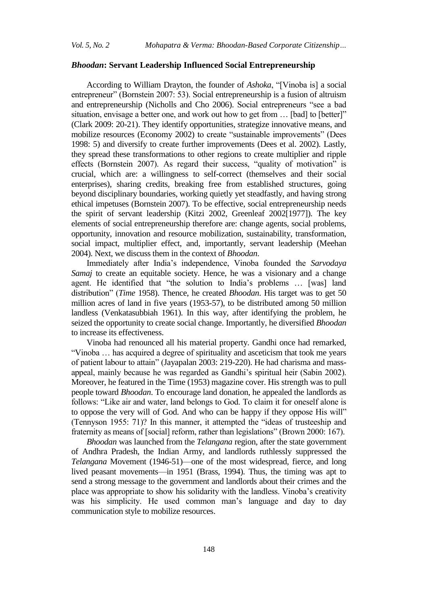## *Bhoodan***: Servant Leadership Influenced Social Entrepreneurship**

According to William Drayton, the founder of *Ashoka*, "[Vinoba is] a social entrepreneur" (Bornstein 2007: 53). Social entrepreneurship is a fusion of altruism and entrepreneurship (Nicholls and Cho 2006). Social entrepreneurs "see a bad situation, envisage a better one, and work out how to get from ... [bad] to [better]" (Clark 2009: 20-21). They identify opportunities, strategize innovative means, and mobilize resources (Economy 2002) to create "sustainable improvements" (Dees 1998: 5) and diversify to create further improvements (Dees et al. 2002). Lastly, they spread these transformations to other regions to create multiplier and ripple effects (Bornstein 2007). As regard their success, "quality of motivation" is crucial, which are: a willingness to self-correct (themselves and their social enterprises), sharing credits, breaking free from established structures, going beyond disciplinary boundaries, working quietly yet steadfastly, and having strong ethical impetuses (Bornstein 2007). To be effective, social entrepreneurship needs the spirit of servant leadership (Kitzi 2002, Greenleaf 2002[1977]). The key elements of social entrepreneurship therefore are: change agents, social problems, opportunity, innovation and resource mobilization, sustainability, transformation, social impact, multiplier effect, and, importantly, servant leadership (Meehan 2004). Next, we discuss them in the context of *Bhoodan*.

Immediately after India's independence, Vinoba founded the *Sarvodaya Samaj* to create an equitable society. Hence, he was a visionary and a change agent. He identified that "the solution to India's problems ... [was] land distribution" (*Time* 1958). Thence, he created *Bhoodan*. His target was to get 50 million acres of land in five years (1953-57), to be distributed among 50 million landless (Venkatasubbiah 1961). In this way, after identifying the problem, he seized the opportunity to create social change. Importantly, he diversified *Bhoodan* to increase its effectiveness.

Vinoba had renounced all his material property. Gandhi once had remarked, "Vinoba ... has acquired a degree of spirituality and asceticism that took me years of patient labour to attain" (Jayapalan 2003: 219-220). He had charisma and massappeal, mainly because he was regarded as Gandhi's spiritual heir (Sabin 2002). Moreover, he featured in the Time (1953) magazine cover. His strength was to pull people toward *Bhoodan*. To encourage land donation, he appealed the landlords as follows: "Like air and water, land belongs to God. To claim it for oneself alone is to oppose the very will of God. And who can be happy if they oppose His will" (Tennyson 1955: 71)? In this manner, it attempted the "ideas of trusteeship and fraternity as means of [social] reform, rather than legislations" (Brown 2000: 167).

*Bhoodan* was launched from the *Telangana* region, after the state government of Andhra Pradesh, the Indian Army, and landlords ruthlessly suppressed the *Telangana* Movement (1946-51)—one of the most widespread, fierce, and long lived peasant movements—in 1951 (Brass, 1994). Thus, the timing was apt to send a strong message to the government and landlords about their crimes and the place was appropriate to show his solidarity with the landless. Vinoba's creativity was his simplicity. He used common man's language and day to day communication style to mobilize resources.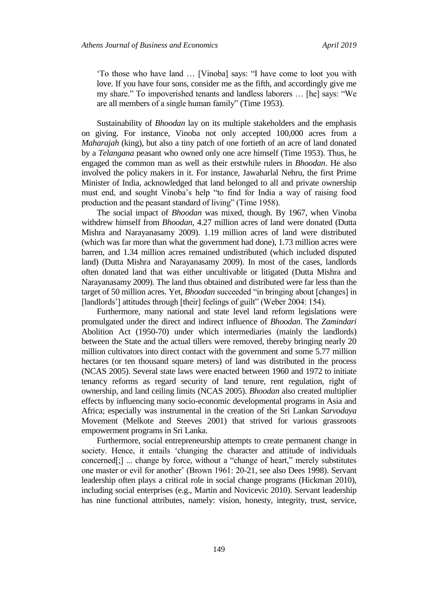'To those who have land ... [Vinoba] says: "I have come to loot you with love. If you have four sons, consider me as the fifth, and accordingly give me my share." To impoverished tenants and landless laborers ... [he] says: "We are all members of a single human family" (Time 1953).

Sustainability of *Bhoodan* lay on its multiple stakeholders and the emphasis on giving. For instance, Vinoba not only accepted 100,000 acres from a *Maharajah* (king), but also a tiny patch of one fortieth of an acre of land donated by a *Telangana* peasant who owned only one acre himself (Time 1953). Thus, he engaged the common man as well as their erstwhile rulers in *Bhoodan*. He also involved the policy makers in it. For instance, Jawaharlal Nehru, the first Prime Minister of India, acknowledged that land belonged to all and private ownership must end, and sought Vinoba's help "to find for India a way of raising food production and the peasant standard of living" (Time 1958).

The social impact of *Bhoodan* was mixed, though. By 1967, when Vinoba withdrew himself from *Bhoodan*, 4.27 million acres of land were donated (Dutta Mishra and Narayanasamy 2009). 1.19 million acres of land were distributed (which was far more than what the government had done), 1.73 million acres were barren, and 1.34 million acres remained undistributed (which included disputed land) (Dutta Mishra and Narayanasamy 2009). In most of the cases, landlords often donated land that was either uncultivable or litigated (Dutta Mishra and Narayanasamy 2009). The land thus obtained and distributed were far less than the target of 50 million acres. Yet, *Bhoodan* succeeded "in bringing about [changes] in [landlords'] attitudes through [their] feelings of guilt" (Weber 2004: 154).

Furthermore, many national and state level land reform legislations were promulgated under the direct and indirect influence of *Bhoodan*. The *Zamindari* Abolition Act (1950-70) under which intermediaries (mainly the landlords) between the State and the actual tillers were removed, thereby bringing nearly 20 million cultivators into direct contact with the government and some 5.77 million hectares (or ten thousand square meters) of land was distributed in the process (NCAS 2005). Several state laws were enacted between 1960 and 1972 to initiate tenancy reforms as regard security of land tenure, rent regulation, right of ownership, and land ceiling limits (NCAS 2005). *Bhoodan* also created multiplier effects by influencing many socio-economic developmental programs in Asia and Africa; especially was instrumental in the creation of the Sri Lankan *Sarvodaya* Movement (Melkote and Steeves 2001) that strived for various grassroots empowerment programs in Sri Lanka.

Furthermore, social entrepreneurship attempts to create permanent change in society. Hence, it entails 'changing the character and attitude of individuals concerned[;]  $\ldots$  change by force, without a "change of heart," merely substitutes one master or evil for another' (Brown 1961: 20-21, see also Dees 1998). Servant leadership often plays a critical role in social change programs (Hickman 2010), including social enterprises (e.g., Martin and Novicevic 2010). Servant leadership has nine functional attributes, namely: vision, honesty, integrity, trust, service,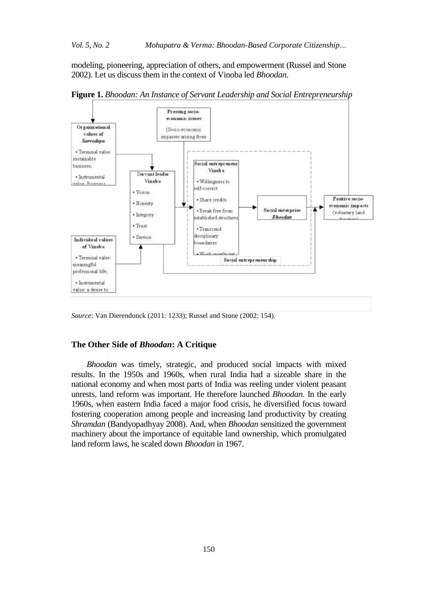modeling, pioneering, appreciation of others, and empowerment (Russel and Stone 2002). Let us discuss them in the context of Vinoba led *Bhoodan*.



**Figure 1.** *Bhoodan: An Instance of Servant Leadership and Social Entrepreneurship*

*Source*: Van Dierendonck (2011: 1233); Russel and Stone (2002: 154).

#### **The Other Side of** *Bhoodan***: A Critique**

*Bhoodan* was timely, strategic, and produced social impacts with mixed results. In the 1950s and 1960s, when rural India had a sizeable share in the national economy and when most parts of India was reeling under violent peasant unrests, land reform was important. He therefore launched *Bhoodan*. In the early 1960s, when eastern India faced a major food crisis, he diversified focus toward fostering cooperation among people and increasing land productivity by creating *Shramdan* (Bandyopadhyay 2008). And, when *Bhoodan* sensitized the government machinery about the importance of equitable land ownership, which promulgated land reform laws, he scaled down *Bhoodan* in 1967.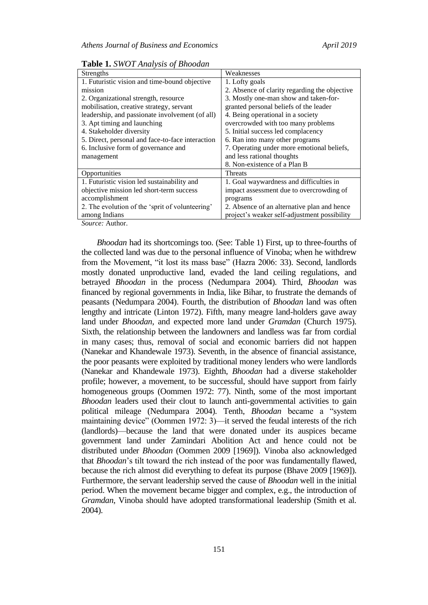| Weaknesses                                    |
|-----------------------------------------------|
| 1. Lofty goals                                |
| 2. Absence of clarity regarding the objective |
| 3. Mostly one-man show and taken-for-         |
| granted personal beliefs of the leader        |
| 4. Being operational in a society             |
| overcrowded with too many problems            |
| 5. Initial success led complacency            |
| 6. Ran into many other programs               |
| 7. Operating under more emotional beliefs,    |
| and less rational thoughts                    |
| 8. Non-existence of a Plan B                  |
| <b>Threats</b>                                |
| 1. Goal waywardness and difficulties in       |
| impact assessment due to overcrowding of      |
| programs                                      |
| 2. Absence of an alternative plan and hence   |
| project's weaker self-adjustment possibility  |
|                                               |

**Table 1.** *SWOT Analysis of Bhoodan*

*Source:* Author.

*Bhoodan* had its shortcomings too. (See: Table 1) First, up to three-fourths of the collected land was due to the personal influence of Vinoba; when he withdrew from the Movement, "it lost its mass base" (Hazra 2006: 33). Second, landlords mostly donated unproductive land, evaded the land ceiling regulations, and betrayed *Bhoodan* in the process (Nedumpara 2004). Third, *Bhoodan* was financed by regional governments in India, like Bihar, to frustrate the demands of peasants (Nedumpara 2004). Fourth, the distribution of *Bhoodan* land was often lengthy and intricate (Linton 1972). Fifth, many meagre land-holders gave away land under *Bhoodan*, and expected more land under *Gramdan* (Church 1975). Sixth, the relationship between the landowners and landless was far from cordial in many cases; thus, removal of social and economic barriers did not happen (Nanekar and Khandewale 1973). Seventh, in the absence of financial assistance, the poor peasants were exploited by traditional money lenders who were landlords (Nanekar and Khandewale 1973). Eighth, *Bhoodan* had a diverse stakeholder profile; however, a movement, to be successful, should have support from fairly homogeneous groups (Oommen 1972: 77). Ninth, some of the most important *Bhoodan* leaders used their clout to launch anti-governmental activities to gain political mileage (Nedumpara 2004). Tenth, *Bhoodan* became a "system" maintaining device" (Oommen 1972: 3)—it served the feudal interests of the rich (landlords)—because the land that were donated under its auspices became government land under Zamindari Abolition Act and hence could not be distributed under *Bhoodan* (Oommen 2009 [1969]). Vinoba also acknowledged that *Bhoodan*'s tilt toward the rich instead of the poor was fundamentally flawed, because the rich almost did everything to defeat its purpose (Bhave 2009 [1969]). Furthermore, the servant leadership served the cause of *Bhoodan* well in the initial period. When the movement became bigger and complex, e.g., the introduction of *Gramdan*, Vinoba should have adopted transformational leadership (Smith et al. 2004).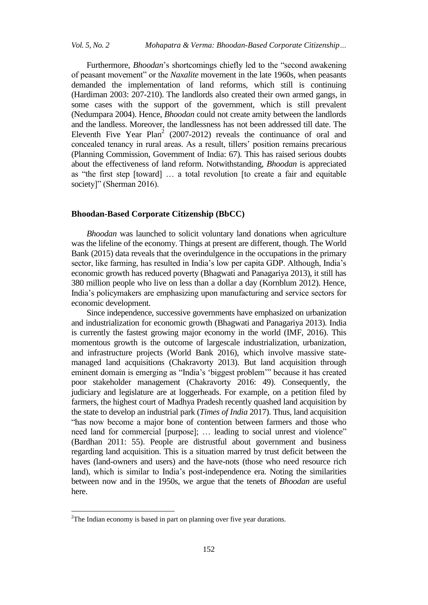Furthermore, *Bhoodan*'s shortcomings chiefly led to the "second awakening of peasant movement" or the *Naxalite* movement in the late 1960s, when peasants demanded the implementation of land reforms, which still is continuing (Hardiman 2003: 207-210). The landlords also created their own armed gangs, in some cases with the support of the government, which is still prevalent (Nedumpara 2004). Hence, *Bhoodan* could not create amity between the landlords and the landless. Moreover, the landlessness has not been addressed till date. The Eleventh Five Year Plan<sup>2</sup> (2007-2012) reveals the continuance of oral and concealed tenancy in rural areas. As a result, tillers' position remains precarious (Planning Commission, Government of India: 67). This has raised serious doubts about the effectiveness of land reform. Notwithstanding, *Bhoodan* is appreciated as "the first step [toward] ... a total revolution [to create a fair and equitable society]" (Sherman 2016).

#### **Bhoodan-Based Corporate Citizenship (BbCC)**

*Bhoodan* was launched to solicit voluntary land donations when agriculture was the lifeline of the economy. Things at present are different, though. The World Bank (2015) data reveals that the overindulgence in the occupations in the primary sector, like farming, has resulted in India's low per capita GDP. Although, India's economic growth has reduced poverty (Bhagwati and Panagariya 2013), it still has 380 million people who live on less than a dollar a day (Kornblum 2012). Hence, India's policymakers are emphasizing upon manufacturing and service sectors for economic development.

Since independence, successive governments have emphasized on urbanization and industrialization for economic growth (Bhagwati and Panagariya 2013). India is currently the fastest growing major economy in the world (IMF, 2016). This momentous growth is the outcome of largescale industrialization, urbanization, and infrastructure projects (World Bank 2016), which involve massive statemanaged land acquisitions (Chakravorty 2013). But land acquisition through eminent domain is emerging as "India's 'biggest problem'" because it has created poor stakeholder management (Chakravorty 2016: 49). Consequently, the judiciary and legislature are at loggerheads. For example, on a petition filed by farmers, the highest court of Madhya Pradesh recently quashed land acquisition by the state to develop an industrial park (*Times of India* 2017). Thus, land acquisition ―has now become a major bone of contention between farmers and those who need land for commercial [purpose]; ... leading to social unrest and violence" (Bardhan 2011: 55). People are distrustful about government and business regarding land acquisition. This is a situation marred by trust deficit between the haves (land-owners and users) and the have-nots (those who need resource rich land), which is similar to India's post-independence era. Noting the similarities between now and in the 1950s, we argue that the tenets of *Bhoodan* are useful here.

1

 $2$ The Indian economy is based in part on planning over five year durations.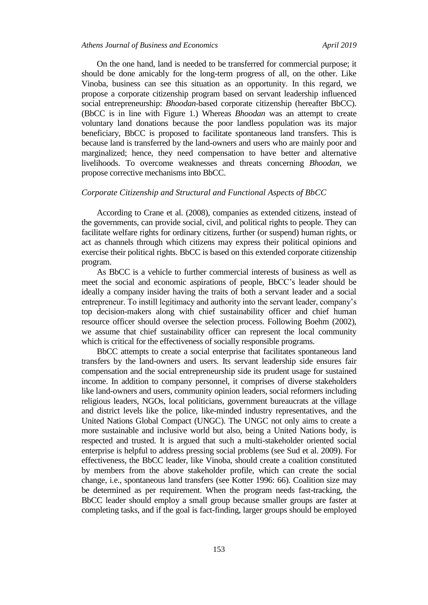On the one hand, land is needed to be transferred for commercial purpose; it should be done amicably for the long-term progress of all, on the other. Like Vinoba, business can see this situation as an opportunity. In this regard, we propose a corporate citizenship program based on servant leadership influenced social entrepreneurship: *Bhoodan*-based corporate citizenship (hereafter BbCC). (BbCC is in line with Figure 1.) Whereas *Bhoodan* was an attempt to create voluntary land donations because the poor landless population was its major beneficiary, BbCC is proposed to facilitate spontaneous land transfers. This is because land is transferred by the land-owners and users who are mainly poor and marginalized; hence, they need compensation to have better and alternative livelihoods. To overcome weaknesses and threats concerning *Bhoodan*, we propose corrective mechanisms into BbCC.

## *Corporate Citizenship and Structural and Functional Aspects of BbCC*

According to Crane et al. (2008), companies as extended citizens, instead of the governments, can provide social, civil, and political rights to people. They can facilitate welfare rights for ordinary citizens, further (or suspend) human rights, or act as channels through which citizens may express their political opinions and exercise their political rights. BbCC is based on this extended corporate citizenship program.

As BbCC is a vehicle to further commercial interests of business as well as meet the social and economic aspirations of people, BbCC's leader should be ideally a company insider having the traits of both a servant leader and a social entrepreneur. To instill legitimacy and authority into the servant leader, company's top decision-makers along with chief sustainability officer and chief human resource officer should oversee the selection process. Following Boehm (2002), we assume that chief sustainability officer can represent the local community which is critical for the effectiveness of socially responsible programs.

BbCC attempts to create a social enterprise that facilitates spontaneous land transfers by the land-owners and users. Its servant leadership side ensures fair compensation and the social entrepreneurship side its prudent usage for sustained income. In addition to company personnel, it comprises of diverse stakeholders like land-owners and users, community opinion leaders, social reformers including religious leaders, NGOs, local politicians, government bureaucrats at the village and district levels like the police, like-minded industry representatives, and the United Nations Global Compact (UNGC). The UNGC not only aims to create a more sustainable and inclusive world but also, being a United Nations body, is respected and trusted. It is argued that such a multi-stakeholder oriented social enterprise is helpful to address pressing social problems (see Sud et al. 2009). For effectiveness, the BbCC leader, like Vinoba, should create a coalition constituted by members from the above stakeholder profile, which can create the social change, i.e., spontaneous land transfers (see Kotter 1996: 66). Coalition size may be determined as per requirement. When the program needs fast-tracking, the BbCC leader should employ a small group because smaller groups are faster at completing tasks, and if the goal is fact-finding, larger groups should be employed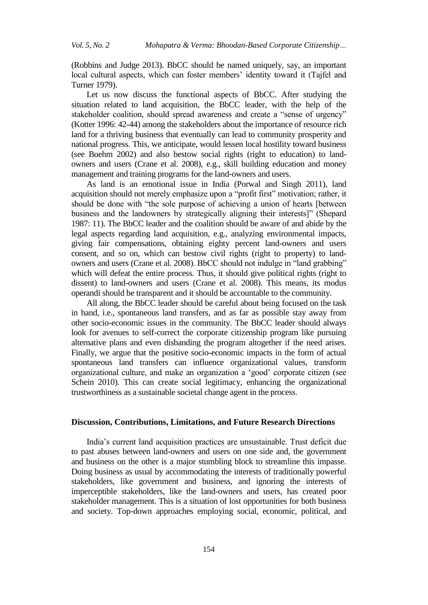(Robbins and Judge 2013). BbCC should be named uniquely, say, an important local cultural aspects, which can foster members' identity toward it (Tajfel and Turner 1979).

Let us now discuss the functional aspects of BbCC. After studying the situation related to land acquisition, the BbCC leader, with the help of the stakeholder coalition, should spread awareness and create a "sense of urgency" (Kotter 1996: 42-44) among the stakeholders about the importance of resource rich land for a thriving business that eventually can lead to community prosperity and national progress. This, we anticipate, would lessen local hostility toward business (see Boehm 2002) and also bestow social rights (right to education) to landowners and users (Crane et al. 2008), e.g., skill building education and money management and training programs for the land-owners and users.

As land is an emotional issue in India (Porwal and Singh 2011), land acquisition should not merely emphasize upon a "profit first" motivation; rather, it should be done with "the sole purpose of achieving a union of hearts [between] business and the landowners by strategically aligning their interests]" (Shepard 1987: 11). The BbCC leader and the coalition should be aware of and abide by the legal aspects regarding land acquisition, e.g., analyzing environmental impacts, giving fair compensations, obtaining eighty percent land-owners and users consent, and so on, which can bestow civil rights (right to property) to landowners and users (Crane et al. 2008). BbCC should not indulge in "land grabbing" which will defeat the entire process. Thus, it should give political rights (right to dissent) to land-owners and users (Crane et al. 2008). This means, its modus operandi should be transparent and it should be accountable to the community.

All along, the BbCC leader should be careful about being focused on the task in hand, i.e., spontaneous land transfers, and as far as possible stay away from other socio-economic issues in the community. The BbCC leader should always look for avenues to self-correct the corporate citizenship program like pursuing alternative plans and even disbanding the program altogether if the need arises. Finally, we argue that the positive socio-economic impacts in the form of actual spontaneous land transfers can influence organizational values, transform organizational culture, and make an organization a ‗good' corporate citizen (see Schein 2010). This can create social legitimacy, enhancing the organizational trustworthiness as a sustainable societal change agent in the process.

#### **Discussion, Contributions, Limitations, and Future Research Directions**

India's current land acquisition practices are unsustainable. Trust deficit due to past abuses between land-owners and users on one side and, the government and business on the other is a major stumbling block to streamline this impasse. Doing business as usual by accommodating the interests of traditionally powerful stakeholders, like government and business, and ignoring the interests of imperceptible stakeholders, like the land-owners and users, has created poor stakeholder management. This is a situation of lost opportunities for both business and society. Top-down approaches employing social, economic, political, and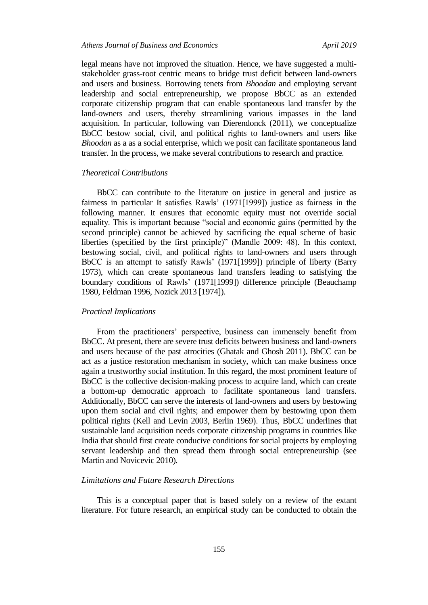legal means have not improved the situation. Hence, we have suggested a multistakeholder grass-root centric means to bridge trust deficit between land-owners and users and business. Borrowing tenets from *Bhoodan* and employing servant leadership and social entrepreneurship, we propose BbCC as an extended corporate citizenship program that can enable spontaneous land transfer by the land-owners and users, thereby streamlining various impasses in the land acquisition. In particular, following van Dierendonck (2011), we conceptualize BbCC bestow social, civil, and political rights to land-owners and users like *Bhoodan* as a as a social enterprise, which we posit can facilitate spontaneous land transfer. In the process, we make several contributions to research and practice.

#### *Theoretical Contributions*

BbCC can contribute to the literature on justice in general and justice as fairness in particular It satisfies Rawls' (1971[1999]) justice as fairness in the following manner. It ensures that economic equity must not override social equality. This is important because "social and economic gains (permitted by the second principle) cannot be achieved by sacrificing the equal scheme of basic liberties (specified by the first principle)" (Mandle 2009: 48). In this context, bestowing social, civil, and political rights to land-owners and users through BbCC is an attempt to satisfy Rawls' (1971[1999]) principle of liberty (Barry 1973), which can create spontaneous land transfers leading to satisfying the boundary conditions of Rawls' (1971[1999]) difference principle (Beauchamp 1980, Feldman 1996, Nozick 2013 [1974]).

# *Practical Implications*

From the practitioners' perspective, business can immensely benefit from BbCC. At present, there are severe trust deficits between business and land-owners and users because of the past atrocities (Ghatak and Ghosh 2011). BbCC can be act as a justice restoration mechanism in society, which can make business once again a trustworthy social institution. In this regard, the most prominent feature of BbCC is the collective decision-making process to acquire land, which can create a bottom-up democratic approach to facilitate spontaneous land transfers. Additionally, BbCC can serve the interests of land-owners and users by bestowing upon them social and civil rights; and empower them by bestowing upon them political rights (Kell and Levin 2003, Berlin 1969). Thus, BbCC underlines that sustainable land acquisition needs corporate citizenship programs in countries like India that should first create conducive conditions for social projects by employing servant leadership and then spread them through social entrepreneurship (see Martin and Novicevic 2010).

# *Limitations and Future Research Directions*

This is a conceptual paper that is based solely on a review of the extant literature. For future research, an empirical study can be conducted to obtain the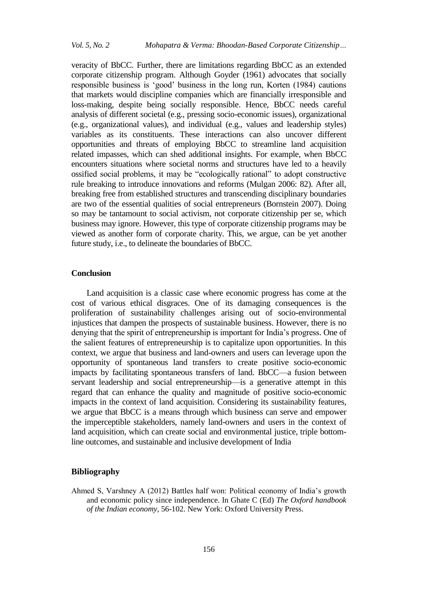veracity of BbCC. Further, there are limitations regarding BbCC as an extended corporate citizenship program. Although Goyder (1961) advocates that socially responsible business is 'good' business in the long run, Korten (1984) cautions that markets would discipline companies which are financially irresponsible and loss-making, despite being socially responsible. Hence, BbCC needs careful analysis of different societal (e.g., pressing socio-economic issues), organizational (e.g., organizational values), and individual (e.g., values and leadership styles) variables as its constituents. These interactions can also uncover different opportunities and threats of employing BbCC to streamline land acquisition related impasses, which can shed additional insights. For example, when BbCC encounters situations where societal norms and structures have led to a heavily ossified social problems, it may be "ecologically rational" to adopt constructive rule breaking to introduce innovations and reforms (Mulgan 2006: 82). After all, breaking free from established structures and transcending disciplinary boundaries are two of the essential qualities of social entrepreneurs (Bornstein 2007). Doing so may be tantamount to social activism, not corporate citizenship per se, which business may ignore. However, this type of corporate citizenship programs may be viewed as another form of corporate charity. This, we argue, can be yet another future study, i.e., to delineate the boundaries of BbCC.

# **Conclusion**

Land acquisition is a classic case where economic progress has come at the cost of various ethical disgraces. One of its damaging consequences is the proliferation of sustainability challenges arising out of socio-environmental injustices that dampen the prospects of sustainable business. However, there is no denying that the spirit of entrepreneurship is important for India's progress. One of the salient features of entrepreneurship is to capitalize upon opportunities. In this context, we argue that business and land-owners and users can leverage upon the opportunity of spontaneous land transfers to create positive socio-economic impacts by facilitating spontaneous transfers of land. BbCC—a fusion between servant leadership and social entrepreneurship—is a generative attempt in this regard that can enhance the quality and magnitude of positive socio-economic impacts in the context of land acquisition. Considering its sustainability features, we argue that BbCC is a means through which business can serve and empower the imperceptible stakeholders, namely land-owners and users in the context of land acquisition, which can create social and environmental justice, triple bottomline outcomes, and sustainable and inclusive development of India

#### **Bibliography**

Ahmed S, Varshney A (2012) Battles half won: Political economy of India's growth and economic policy since independence. In Ghate C (Ed) *The Oxford handbook of the Indian economy,* 56-102. New York: Oxford University Press.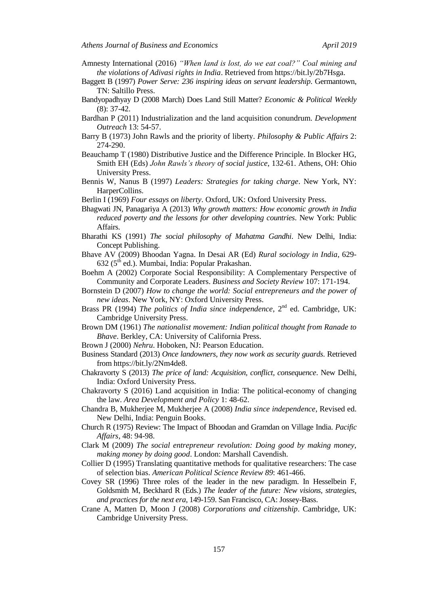- Amnesty International (2016) *"When land is lost, do we eat coal?" Coal mining and the violations of Adivasi rights in India*. Retrieved from https://bit.ly/2b7Hsga.
- Baggett B (1997) *Power Serve: 236 inspiring ideas on servant leadership*. Germantown, TN: Saltillo Press.
- Bandyopadhyay D (2008 March) Does Land Still Matter? *Economic & Political Weekly* (8): 37-42.
- Bardhan P (2011) Industrialization and the land acquisition conundrum. *Development Outreach* 13: 54-57.
- Barry B (1973) John Rawls and the priority of liberty. *Philosophy & Public Affairs* 2: 274-290.
- Beauchamp T (1980) Distributive Justice and the Difference Principle. In Blocker HG, Smith EH (Eds) *John Rawls"s theory of social justice*, 132-61. Athens, OH: Ohio University Press.
- Bennis W, Nanus B (1997) *Leaders: Strategies for taking charge*. New York, NY: HarperCollins.
- Berlin I (1969) *Four essays on liberty*. Oxford, UK: Oxford University Press.
- Bhagwati JN, Panagariya A (2013) *Why growth matters: How economic growth in India reduced poverty and the lessons for other developing countries*. New York: Public Affairs.
- Bharathi KS (1991) *The social philosophy of Mahatma Gandhi*. New Delhi, India: Concept Publishing.
- Bhave AV (2009) Bhoodan Yagna. In Desai AR (Ed) *Rural sociology in India*, 629-  $632$  ( $5<sup>th</sup>$  ed.). Mumbai, India: Popular Prakashan.
- Boehm A (2002) Corporate Social Responsibility: A Complementary Perspective of Community and Corporate Leaders. *Business and Society Review* 107: 171-194.
- Bornstein D (2007) *How to change the world: Social entrepreneurs and the power of new ideas*. New York, NY: Oxford University Press.
- Brass PR (1994) *The politics of India since independence*, 2<sup>nd</sup> ed. Cambridge, UK: Cambridge University Press.
- Brown DM (1961) *The nationalist movement: Indian political thought from Ranade to Bhave*. Berkley, CA: University of California Press.
- Brown J (2000) *Nehru*. Hoboken, NJ: Pearson Education.
- Business Standard (2013) *Once landowners, they now work as security guards*. Retrieved from https://bit.ly/2Nm4de8.
- Chakravorty S (2013) *The price of land: Acquisition, conflict, consequence*. New Delhi, India: Oxford University Press.
- Chakravorty S (2016) Land acquisition in India: The political-economy of changing the law. *Area Development and Policy* 1: 48-62.
- Chandra B, Mukherjee M, Mukherjee A (2008) *India since independence*, Revised ed. New Delhi, India: Penguin Books.
- Church R (1975) Review: The Impact of Bhoodan and Gramdan on Village India. *Pacific Affairs*, 48: 94-98.
- Clark M (2009) *The social entrepreneur revolution: Doing good by making money, making money by doing good*. London: Marshall Cavendish.
- Collier D (1995) Translating quantitative methods for qualitative researchers: The case of selection bias. *American Political Science Review 89*: 461-466.
- Covey SR (1996) Three roles of the leader in the new paradigm. In Hesselbein F, Goldsmith M, Beckhard R (Eds.) *The leader of the future: New visions, strategies, and practices for the next era*, 149-159. San Francisco, CA: Jossey-Bass.
- Crane A, Matten D, Moon J (2008) *Corporations and citizenship*. Cambridge, UK: Cambridge University Press.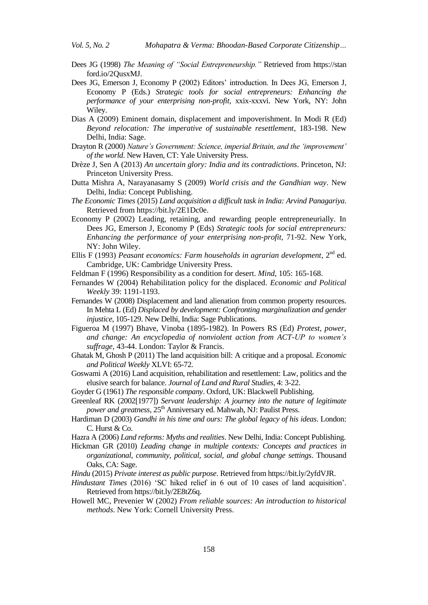- Dees JG (1998) *The Meaning of "Social Entrepreneurship."* Retrieved from https://stan ford.io/2QusxMJ.
- Dees JG, Emerson J, Economy P (2002) Editors' introduction. In Dees JG, Emerson J, Economy P (Eds.) *Strategic tools for social entrepreneurs: Enhancing the performance of your enterprising non-profit*, xxix-xxxvi. New York, NY: John Wiley.
- Dias A (2009) Eminent domain, displacement and impoverishment. In Modi R (Ed) *Beyond relocation: The imperative of sustainable resettlement*, 183-198. New Delhi, India: Sage.
- Drayton R (2000) *Nature"s Government: Science, imperial Britain, and the "improvement" of the world*. New Haven, CT: Yale University Press.
- Drèze J, Sen A (2013) *An uncertain glory: India and its contradictions*. Princeton, NJ: Princeton University Press.
- Dutta Mishra A, Narayanasamy S (2009) *World crisis and the Gandhian way*. New Delhi, India: Concept Publishing.
- *The Economic Times* (2015) *Land acquisition a difficult task in India: Arvind Panagariya*. Retrieved from https://bit.ly/2E1Dc0e.
- Economy P (2002) Leading, retaining, and rewarding people entrepreneurially. In Dees JG, Emerson J, Economy P (Eds) *Strategic tools for social entrepreneurs: Enhancing the performance of your enterprising non-profit*, 71-92. New York, NY: John Wiley.
- Ellis F (1993) *Peasant economics: Farm households in agrarian development*, 2nd ed. Cambridge, UK: Cambridge University Press.
- Feldman F (1996) Responsibility as a condition for desert. *Mind*, 105: 165-168.
- Fernandes W (2004) Rehabilitation policy for the displaced. *Economic and Political Weekly* 39: 1191-1193.
- Fernandes W (2008) Displacement and land alienation from common property resources. In Mehta L (Ed) *Displaced by development: Confronting marginalization and gender injustice*, 105-129. New Delhi, India: Sage Publications.
- Figueroa M (1997) Bhave, Vinoba (1895-1982). In Powers RS (Ed) *Protest, power, and change: An encyclopedia of nonviolent action from ACT-UP to women"s suffrage*, 43-44. London: Taylor & Francis.
- Ghatak M, Ghosh P (2011) The land acquisition bill: A critique and a proposal. *Economic and Political Weekly* XLVI: 65-72.
- Goswami A (2016) Land acquisition, rehabilitation and resettlement: Law, politics and the elusive search for balance. *Journal of Land and Rural Studies*, 4: 3-22.
- Goyder G (1961) *The responsible company*. Oxford, UK: Blackwell Publishing.
- Greenleaf RK (2002[1977]) *Servant leadership: A journey into the nature of legitimate power and greatness*, 25<sup>th</sup> Anniversary ed. Mahwah, NJ: Paulist Press.
- Hardiman D (2003) *Gandhi in his time and ours: The global legacy of his ideas*. London: C. Hurst & Co.
- Hazra A (2006) *Land reforms: Myths and realities*. New Delhi, India: Concept Publishing.
- Hickman GR (2010) *Leading change in multiple contexts: Concepts and practices in organizational, community, political, social, and global change settings*. Thousand Oaks, CA: Sage.
- *Hindu* (2015) *Private interest as public purpose*. Retrieved from https://bit.ly/2yfdVJR.
- *Hindustant Times* (2016) 'SC hiked relief in 6 out of 10 cases of land acquisition'. Retrieved from https://bit.ly/2E8tZ6q.
- Howell MC, Prevenier W (2002) *From reliable sources: An introduction to historical methods*. New York: Cornell University Press.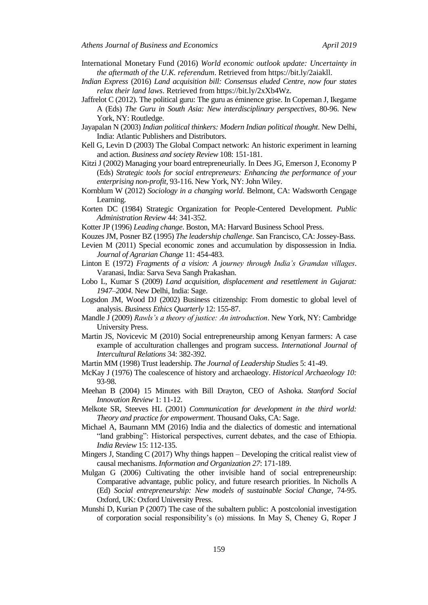- International Monetary Fund (2016) *World economic outlook update: Uncertainty in the aftermath of the U.K. referendum*. Retrieved from https://bit.ly/2aiakll.
- *Indian Express* (2016) *Land acquisition bill: Consensus eluded Centre, now four states relax their land laws*. Retrieved from https://bit.ly/2xXb4Wz.
- Jaffrelot C (2012). The political guru: The guru as éminence grise. In Copeman J, Ikegame A (Eds) *The Guru in South Asia: New interdisciplinary perspectives*, 80-96. New York, NY: Routledge.
- Jayapalan N (2003) *Indian political thinkers: Modern Indian political thought*. New Delhi, India: Atlantic Publishers and Distributors.
- Kell G, Levin D (2003) The Global Compact network: An historic experiment in learning and action. *Business and society Review* 108: 151-181.
- Kitzi J (2002) Managing your board entrepreneurially. In Dees JG, Emerson J, Economy P (Eds) *Strategic tools for social entrepreneurs: Enhancing the performance of your enterprising non-profit,* 93-116. New York, NY: John Wiley.
- Kornblum W (2012) *Sociology in a changing world*. Belmont, CA: Wadsworth Cengage Learning.
- Korten DC (1984) Strategic Organization for People-Centered Development. *Public Administration Review* 44: 341-352.
- Kotter JP (1996) *Leading change*. Boston, MA: Harvard Business School Press.
- Kouzes JM, Posner BZ (1995) *The leadership challenge*. San Francisco, CA: Jossey-Bass.
- Levien M (2011) Special economic zones and accumulation by dispossession in India. *Journal of Agrarian Change* 11: 454-483.
- Linton E (1972) *Fragments of a vision: A journey through India"s Gramdan villages*. Varanasi, India: Sarva Seva Sangh Prakashan.
- Lobo L, Kumar S (2009) *Land acquisition, displacement and resettlement in Gujarat: 1947–2004*. New Delhi, India: Sage.
- Logsdon JM, Wood DJ (2002) Business citizenship: From domestic to global level of analysis. *Business Ethics Quarterly* 12: 155-87.
- Mandle J (2009) *Rawls"s a theory of justice: An introduction*. New York, NY: Cambridge University Press.
- Martin JS, Novicevic M (2010) Social entrepreneurship among Kenyan farmers: A case example of acculturation challenges and program success. *International Journal of Intercultural Relations* 34: 382-392.
- Martin MM (1998) Trust leadership. *The Journal of Leadership Studies* 5: 41-49.
- McKay J (1976) The coalescence of history and archaeology. *Historical Archaeology 10:* 93-98.
- Meehan B (2004) 15 Minutes with Bill Drayton, CEO of Ashoka. *Stanford Social Innovation Review* 1: 11-12.
- Melkote SR, Steeves HL (2001) *Communication for development in the third world: Theory and practice for empowerment*. Thousand Oaks, CA: Sage.
- Michael A, Baumann MM (2016) India and the dialectics of domestic and international "land grabbing": Historical perspectives, current debates, and the case of Ethiopia. *India Review* 15: 112-135.
- Mingers J, Standing C (2017) Why things happen Developing the critical realist view of causal mechanisms. *Information and Organization 27*: 171-189.
- Mulgan G (2006) Cultivating the other invisible hand of social entrepreneurship: Comparative advantage, public policy, and future research priorities. In Nicholls A (Ed) *Social entrepreneurship: New models of sustainable Social Change*, 74-95. Oxford, UK: Oxford University Press.
- Munshi D, Kurian P (2007) The case of the subaltern public: A postcolonial investigation of corporation social responsibility's (o) missions. In May S, Cheney G, Roper J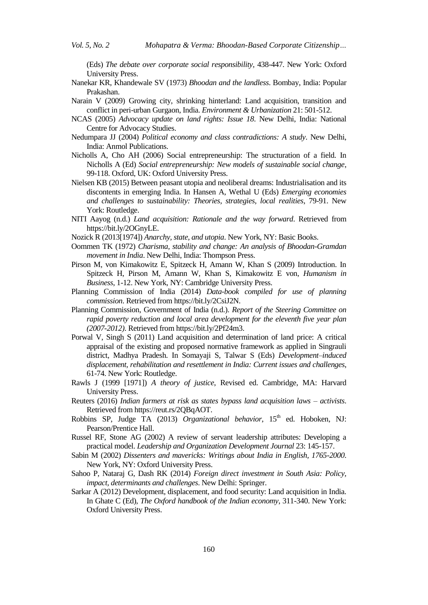(Eds) *The debate over corporate social responsibility,* 438-447. New York: Oxford University Press.

- Nanekar KR, Khandewale SV (1973) *Bhoodan and the landless*. Bombay, India: Popular Prakashan.
- Narain V (2009) Growing city, shrinking hinterland: Land acquisition, transition and conflict in peri-urban Gurgaon, India. *Environment & Urbanization* 21: 501-512.
- NCAS (2005) *Advocacy update on land rights: Issue 18*. New Delhi, India: National Centre for Advocacy Studies.
- Nedumpara JJ (2004) *Political economy and class contradictions: A study*. New Delhi, India: Anmol Publications.
- Nicholls A, Cho AH (2006) Social entrepreneurship: The structuration of a field. In Nicholls A (Ed) *Social entrepreneurship: New models of sustainable social change*, 99-118. Oxford, UK: Oxford University Press.
- Nielsen KB (2015) Between peasant utopia and neoliberal dreams: Industrialisation and its discontents in emerging India. In Hansen A, Wethal U (Eds) *Emerging economies and challenges to sustainability: Theories, strategies, local realities*, 79-91. New York: Routledge.
- NITI Aayog (n.d.) *Land acquisition: Rationale and the way forward*. Retrieved from https://bit.ly/2OGnyLE.
- Nozick R (2013[1974]) *Anarchy, state, and utopia*. New York, NY: Basic Books.
- Oommen TK (1972) *Charisma, stability and change: An analysis of Bhoodan-Gramdan movement in India*. New Delhi, India: Thompson Press.
- Pirson M, von Kimakowitz E, Spitzeck H, Amann W, Khan S (2009) Introduction. In Spitzeck H, Pirson M, Amann W, Khan S, Kimakowitz E von, *Humanism in Business*, 1-12. New York, NY: Cambridge University Press.
- Planning Commission of India (2014) *Data-book compiled for use of planning commission*. Retrieved from https://bit.ly/2CsiJ2N.
- Planning Commission, Government of India (n.d.). *Report of the Steering Committee on rapid poverty reduction and local area development for the eleventh five year plan (2007-2012)*. Retrieved from https://bit.ly/2Pf24m3.
- Porwal V, Singh S (2011) Land acquisition and determination of land price: A critical appraisal of the existing and proposed normative framework as applied in Singrauli district, Madhya Pradesh. In Somayaji S, Talwar S (Eds) *Development–induced displacement, rehabilitation and resettlement in India: Current issues and challenges*, 61-74. New York: Routledge.
- Rawls J (1999 [1971]) *A theory of justice*, Revised ed. Cambridge, MA: Harvard University Press.
- Reuters (2016) *Indian farmers at risk as states bypass land acquisition laws – activists*. Retrieved from https://reut.rs/2QBqAOT.
- Robbins SP, Judge TA (2013) *Organizational behavior*, 15<sup>th</sup> ed. Hoboken, NJ: Pearson/Prentice Hall.
- Russel RF, Stone AG (2002) A review of servant leadership attributes: Developing a practical model. *Leadership and Organization Development Journal* 23: 145-157.
- Sabin M (2002) *Dissenters and mavericks: Writings about India in English, 1765-2000*. New York, NY: Oxford University Press.
- Sahoo P, Nataraj G, Dash RK (2014) *Foreign direct investment in South Asia: Policy, impact, determinants and challenges*. New Delhi: Springer.
- Sarkar A (2012) Development, displacement, and food security: Land acquisition in India. In Ghate C (Ed), *The Oxford handbook of the Indian economy*, 311-340. New York: Oxford University Press.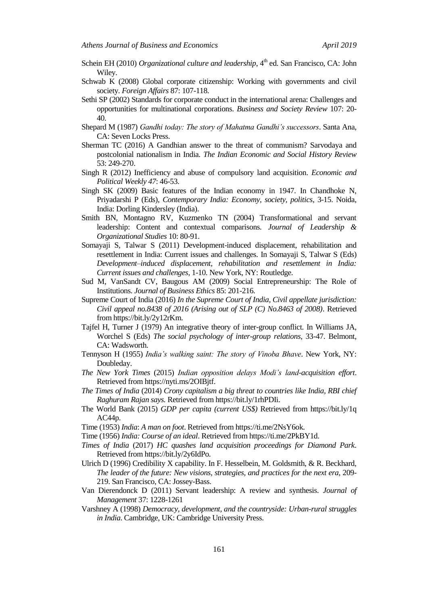- Schein EH (2010) *Organizational culture and leadership*, 4<sup>th</sup> ed. San Francisco, CA: John Wiley.
- Schwab K (2008) Global corporate citizenship: Working with governments and civil society. *Foreign Affairs* 87: 107-118.
- Sethi SP (2002) Standards for corporate conduct in the international arena: Challenges and opportunities for multinational corporations. *Business and Society Review* 107: 20- 40.
- Shepard M (1987) *Gandhi today: The story of Mahatma Gandhi"s successors*. Santa Ana, CA: Seven Locks Press.
- Sherman TC (2016) A Gandhian answer to the threat of communism? Sarvodaya and postcolonial nationalism in India. *The Indian Economic and Social History Review* 53: 249-270.
- Singh R (2012) Inefficiency and abuse of compulsory land acquisition. *Economic and Political Weekly 47*: 46-53.
- Singh SK (2009) Basic features of the Indian economy in 1947. In Chandhoke N, Priyadarshi P (Eds), *Contemporary India: Economy, society, politics*, 3-15. Noida, India: Dorling Kindersley (India).
- Smith BN, Montagno RV, Kuzmenko TN (2004) Transformational and servant leadership: Content and contextual comparisons. *Journal of Leadership & Organizational Studies* 10: 80-91.
- Somayaji S, Talwar S (2011) Development-induced displacement, rehabilitation and resettlement in India: Current issues and challenges. In Somayaji S, Talwar S (Eds) *Development–induced displacement, rehabilitation and resettlement in India: Current issues and challenges*, 1-10. New York, NY: Routledge.
- Sud M, VanSandt CV, Baugous AM (2009) Social Entrepreneurship: The Role of Institutions. *Journal of Business Ethics* 85: 201-216.
- Supreme Court of India (2016) *In the Supreme Court of India, Civil appellate jurisdiction: Civil appeal no.8438 of 2016 (Arising out of SLP (C) No.8463 of 2008)*. Retrieved from https://bit.ly/2y12rKm.
- Tajfel H, Turner J (1979) An integrative theory of inter-group conflict. In Williams JA, Worchel S (Eds) *The social psychology of inter-group relations*, 33-47. Belmont, CA: Wadsworth.
- Tennyson H (1955) *India"s walking saint: The story of Vinoba Bhave*. New York, NY: Doubleday.
- *The New York Times* (2015) *Indian opposition delays Modi"s land-acquisition effort*. Retrieved from https://nyti.ms/2OIBjtf.
- *The Times of India* (2014) *Crony capitalism a big threat to countries like India, RBI chief Raghuram Rajan says.* Retrieved from https://bit.ly/1rhPDIi.
- The World Bank (2015) *GDP per capita (current US\$)* Retrieved from https://bit.ly/1q AC44p.
- Time (1953) *India*: *A man on foot*. Retrieved from https://ti.me/2NsY6ok.
- Time (1956) *India: Course of an ideal*. Retrieved from https://ti.me/2PkBY1d.
- *Times of India* (2017) *HC quashes land acquisition proceedings for Diamond Park*. Retrieved from https://bit.ly/2y6IdPo.
- Ulrich D (1996) Credibility X capability. In F. Hesselbein, M. Goldsmith, & R. Beckhard, *The leader of the future: New visions, strategies, and practices for the next era*, 209- 219. San Francisco, CA: Jossey-Bass.
- Van Dierendonck D (2011) Servant leadership: A review and synthesis. *Journal of Management* 37: 1228-1261
- Varshney A (1998) *Democracy, development, and the countryside: Urban-rural struggles in India*. Cambridge, UK: Cambridge University Press.